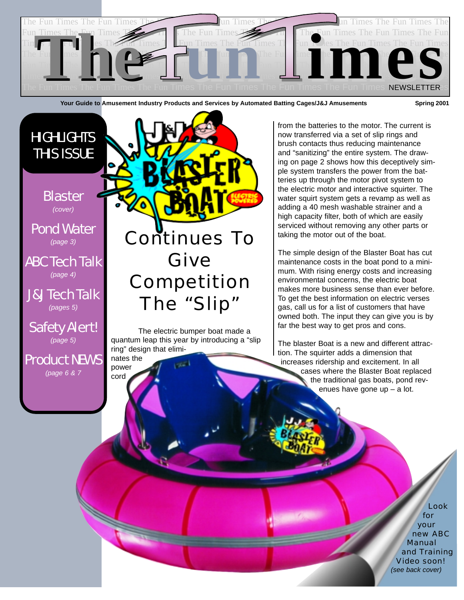

Your Guide to Amusement Industry Products and Services by Automated Batting Cages/J&J Amusements Spring 2001



nates the power cord

*(page 5)*

Product NEWS *(page 6 & 7*

The electric bumper boat made a quantum leap this year by introducing a "slip ring" design that elimi-

from the batteries to the motor. The current is now transferred via a set of slip rings and brush contacts thus reducing maintenance and "sanitizing" the entire system. The drawing on page 2 shows how this deceptively simple system transfers the power from the batteries up through the motor pivot system to the electric motor and interactive squirter. The water squirt system gets a revamp as well as adding a 40 mesh washable strainer and a high capacity filter, both of which are easily serviced without removing any other parts or taking the motor out of the boat.

The simple design of the Blaster Boat has cut maintenance costs in the boat pond to a minimum. With rising energy costs and increasing environmental concerns, the electric boat makes more business sense than ever before. To get the best information on electric verses gas, call us for a list of customers that have owned both. The input they can give you is by far the best way to get pros and cons.

The blaster Boat is a new and different attraction. The squirter adds a dimension that increases ridership and excitement. In all cases where the Blaster Boat replaced the traditional gas boats, pond revenues have gone up – a lot.

> Look for your new ABC Manual and Training Video soon! *(see back cover)*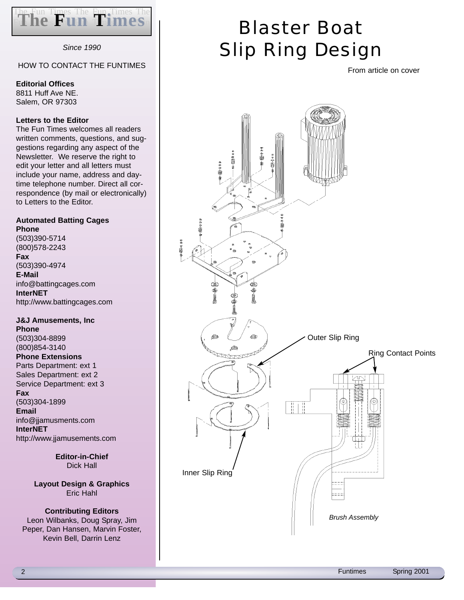

*Since 1990*

#### HOW TO CONTACT THE FUNTIMES

**Editorial Offices**

8811 Huff Ave NE. Salem, OR 97303

#### **Letters to the Editor**

The Fun Times welcomes all readers written comments, questions, and suggestions regarding any aspect of the Newsletter. We reserve the right to edit your letter and all letters must include your name, address and daytime telephone number. Direct all correspondence (by mail or electronically) to Letters to the Editor.

#### **Automated Batting Cages Phone**

(503)390-5714 (800)578-2243 **Fax** (503)390-4974 **E-Mail** info@battingcages.com **InterNET** http://www.battingcages.com

#### **J&J Amusements, Inc Phone** (503)304-8899 (800)854-3140 **Phone Extensions** Parts Department: ext 1 Sales Department: ext 2 Service Department: ext 3

**Fax** (503)304-1899 **Email** info@jjamusments.com **InterNET** http://www.jjamusements.com

> **Editor-in-Chief** Dick Hall

**Layout Design & Graphics** Eric Hahl

#### **Contributing Editors** Leon Wilbanks, Doug Spray, Jim Peper, Dan Hansen, Marvin Foster, Kevin Bell, Darrin Lenz

## Blaster Boat Slip Ring Design

From article on cover

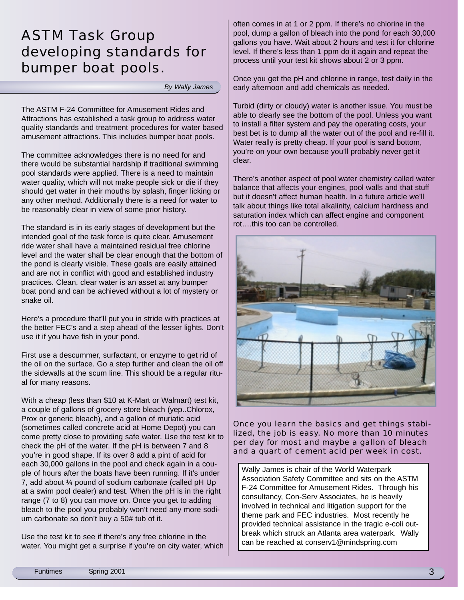#### ASTM Task Group developing standards for bumper boat pools.

*By Wally James*

The ASTM F-24 Committee for Amusement Rides and Attractions has established a task group to address water quality standards and treatment procedures for water based amusement attractions. This includes bumper boat pools.

The committee acknowledges there is no need for and there would be substantial hardship if traditional swimming pool standards were applied. There is a need to maintain water quality, which will not make people sick or die if they should get water in their mouths by splash, finger licking or any other method. Additionally there is a need for water to be reasonably clear in view of some prior history.

The standard is in its early stages of development but the intended goal of the task force is quite clear. Amusement ride water shall have a maintained residual free chlorine level and the water shall be clear enough that the bottom of the pond is clearly visible. These goals are easily attained and are not in conflict with good and established industry practices. Clean, clear water is an asset at any bumper boat pond and can be achieved without a lot of mystery or snake oil.

Here's a procedure that'll put you in stride with practices at the better FEC's and a step ahead of the lesser lights. Don't use it if you have fish in your pond.

First use a descummer, surfactant, or enzyme to get rid of the oil on the surface. Go a step further and clean the oil off the sidewalls at the scum line. This should be a regular ritual for many reasons.

With a cheap (less than \$10 at K-Mart or Walmart) test kit, a couple of gallons of grocery store bleach (yep..Chlorox, Prox or generic bleach), and a gallon of muriatic acid (sometimes called concrete acid at Home Depot) you can come pretty close to providing safe water. Use the test kit to check the pH of the water. If the pH is between 7 and 8 you're in good shape. If its over 8 add a pint of acid for each 30,000 gallons in the pool and check again in a couple of hours after the boats have been running. If it's under 7, add about ¼ pound of sodium carbonate (called pH Up at a swim pool dealer) and test. When the pH is in the right range (7 to 8) you can move on. Once you get to adding bleach to the pool you probably won't need any more sodium carbonate so don't buy a 50# tub of it.

Use the test kit to see if there's any free chlorine in the water. You might get a surprise if you're on city water, which often comes in at 1 or 2 ppm. If there's no chlorine in the pool, dump a gallon of bleach into the pond for each 30,000 gallons you have. Wait about 2 hours and test it for chlorine level. If there's less than 1 ppm do it again and repeat the process until your test kit shows about 2 or 3 ppm.

Once you get the pH and chlorine in range, test daily in the early afternoon and add chemicals as needed.

Turbid (dirty or cloudy) water is another issue. You must be able to clearly see the bottom of the pool. Unless you want to install a filter system and pay the operating costs, your best bet is to dump all the water out of the pool and re-fill it. Water really is pretty cheap. If your pool is sand bottom, you're on your own because you'll probably never get it clear.

There's another aspect of pool water chemistry called water balance that affects your engines, pool walls and that stuff but it doesn't affect human health. In a future article we'll talk about things like total alkalinity, calcium hardness and saturation index which can affect engine and component rot….this too can be controlled.



Once you learn the basics and get things stabilized, the job is easy. No more than 10 minutes per day for most and maybe a gallon of bleach and a quart of cement acid per week in cost.

Wally James is chair of the World Waterpark Association Safety Committee and sits on the ASTM F-24 Committee for Amusement Rides. Through his consultancy, Con-Serv Associates, he is heavily involved in technical and litigation support for the theme park and FEC industries. Most recently he provided technical assistance in the tragic e-coli outbreak which struck an Atlanta area waterpark. Wally can be reached at conserv1@mindspring.com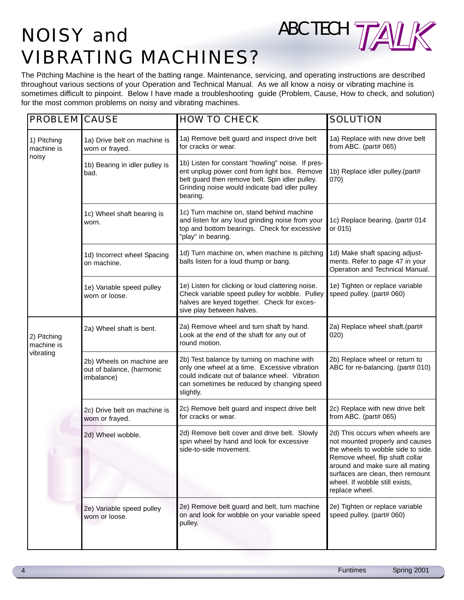## NOISY and MBC TECH TALK VIBRATING MACHINES?

The Pitching Machine is the heart of the batting range. Maintenance, servicing, and operating instructions are described throughout various sections of your Operation and Technical Manual. As we all know a noisy or vibrating machine is sometimes difficult to pinpoint. Below I have made a troubleshooting guide (Problem, Cause, How to check, and solution) for the most common problems on noisy and vibrating machines.

| <b>PROBLEM CAUSE</b>                   |                                                                      | <b>HOW TO CHECK</b>                                                                                                                                                                                                | <b>SOLUTION</b>                                                                                                                                                                                                                                                        |
|----------------------------------------|----------------------------------------------------------------------|--------------------------------------------------------------------------------------------------------------------------------------------------------------------------------------------------------------------|------------------------------------------------------------------------------------------------------------------------------------------------------------------------------------------------------------------------------------------------------------------------|
| 1) Pitching<br>machine is<br>noisy     | 1a) Drive belt on machine is<br>worn or frayed.                      | 1a) Remove belt guard and inspect drive belt<br>for cracks or wear.                                                                                                                                                | 1a) Replace with new drive belt<br>from ABC. (part# 065)                                                                                                                                                                                                               |
|                                        | 1b) Bearing in idler pulley is<br>bad.                               | 1b) Listen for constant "howling" noise. If pres-<br>ent unplug power cord from light box. Remove<br>belt guard then remove belt. Spin idler pulley.<br>Grinding noise would indicate bad idler pulley<br>bearing. | 1b) Replace idler pulley.(part#<br>070)                                                                                                                                                                                                                                |
|                                        | 1c) Wheel shaft bearing is<br>worn.                                  | 1c) Turn machine on, stand behind machine<br>and listen for any loud grinding noise from your<br>top and bottom bearings. Check for excessive<br>"play" in bearing.                                                | 1c) Replace bearing. (part# 014<br>or 015)                                                                                                                                                                                                                             |
|                                        | 1d) Incorrect wheel Spacing<br>on machine.                           | 1d) Turn machine on, when machine is pitching<br>balls listen for a loud thump or bang.                                                                                                                            | 1d) Make shaft spacing adjust-<br>ments. Refer to page 47 in your<br>Operation and Technical Manual.                                                                                                                                                                   |
|                                        | 1e) Variable speed pulley<br>worn or loose.                          | 1e) Listen for clicking or loud clattering noise.<br>Check variable speed pulley for wobble. Pulley<br>halves are keyed together. Check for exces-<br>sive play between halves.                                    | 1e) Tighten or replace variable<br>speed pulley. (part# 060)                                                                                                                                                                                                           |
| 2) Pitching<br>machine is<br>vibrating | 2a) Wheel shaft is bent.                                             | 2a) Remove wheel and turn shaft by hand.<br>Look at the end of the shaft for any out of<br>round motion.                                                                                                           | 2a) Replace wheel shaft.(part#<br>020)                                                                                                                                                                                                                                 |
|                                        | 2b) Wheels on machine are<br>out of balance, (harmonic<br>imbalance) | 2b) Test balance by turning on machine with<br>only one wheel at a time. Excessive vibration<br>could indicate out of balance wheel. Vibration<br>can sometimes be reduced by changing speed<br>slightly.          | 2b) Replace wheel or return to<br>ABC for re-balancing. (part# 010)                                                                                                                                                                                                    |
|                                        | 2c) Drive belt on machine is<br>worn or frayed.                      | 2c) Remove belt guard and inspect drive belt<br>for cracks or wear.                                                                                                                                                | 2c) Replace with new drive belt<br>from ABC. (part# 065)                                                                                                                                                                                                               |
|                                        | 2d) Wheel wobble.                                                    | 2d) Remove belt cover and drive belt. Slowly<br>spin wheel by hand and look for excessive<br>side-to-side movement.                                                                                                | 2d) This occurs when wheels are<br>not mounted properly and causes<br>the wheels to wobble side to side.<br>Remove wheel, flip shaft collar<br>around and make sure all mating<br>surfaces are clean, then remount<br>wheel. If wobble still exists,<br>replace wheel. |
|                                        | 2e) Variable speed pulley<br>worn or loose.                          | 2e) Remove belt guard and belt, turn machine<br>on and look for wobble on your variable speed<br>pulley.                                                                                                           | 2e) Tighten or replace variable<br>speed pulley. (part# 060)                                                                                                                                                                                                           |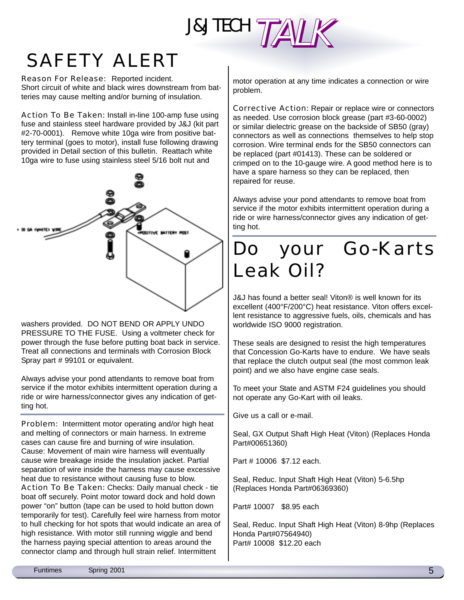# J&J TECH TALK

## SAFETY ALERT

Reason For Release: Reported incident. Short circuit of white and black wires downstream from batteries may cause melting and/or burning of insulation.

Action To Be Taken: Install in-line 100-amp fuse using fuse and stainless steel hardware provided by J&J (kit part #2-70-0001). Remove white 10ga wire from positive battery terminal (goes to motor), install fuse following drawing provided in Detail section of this bulletin. Reattach white 10ga wire to fuse using stainless steel 5/16 bolt nut and



washers provided. DO NOT BEND OR APPLY UNDO PRESSURE TO THE FUSE. Using a voltmeter check for power through the fuse before putting boat back in service. Treat all connections and terminals with Corrosion Block Spray part # 99101 or equivalent.

Always advise your pond attendants to remove boat from service if the motor exhibits intermittent operation during a ride or wire harness/connector gives any indication of getting hot.

Problem: Intermittent motor operating and/or high heat and melting of connectors or main harness. In extreme cases can cause fire and burning of wire insulation. Cause: Movement of main wire harness will eventually cause wire breakage inside the insulation jacket. Partial separation of wire inside the harness may cause excessive heat due to resistance without causing fuse to blow. Action To Be Taken: Checks: Daily manual check - tie boat off securely. Point motor toward dock and hold down power "on" button (tape can be used to hold button down temporarily for test). Carefully feel wire harness from motor to hull checking for hot spots that would indicate an area of high resistance. With motor still running wiggle and bend the harness paying special attention to areas around the connector clamp and through hull strain relief. Intermittent

motor operation at any time indicates a connection or wire problem.

Corrective Action: Repair or replace wire or connectors as needed. Use corrosion block grease (part #3-60-0002) or similar dielectric grease on the backside of SB50 (gray) connectors as well as connections themselves to help stop corrosion. Wire terminal ends for the SB50 connectors can be replaced (part #01413). These can be soldered or crimped on to the 10-gauge wire. A good method here is to have a spare harness so they can be replaced, then repaired for reuse.

Always advise your pond attendants to remove boat from service if the motor exhibits intermittent operation during a ride or wire harness/connector gives any indication of getting hot.

### Do your Go-Karts Leak Oil?

J&J has found a better seal! Viton® is well known for its excellent (400°F/200°C) heat resistance. Viton offers excellent resistance to aggressive fuels, oils, chemicals and has worldwide ISO 9000 registration.

These seals are designed to resist the high temperatures that Concession Go-Karts have to endure. We have seals that replace the clutch output seal (the most common leak point) and we also have engine case seals.

To meet your State and ASTM F24 guidelines you should not operate any Go-Kart with oil leaks.

Give us a call or e-mail.

Seal, GX Output Shaft High Heat (Viton) (Replaces Honda Part#00651360)

Part # 10006 \$7.12 each.

Seal, Reduc. Input Shaft High Heat (Viton) 5-6.5hp (Replaces Honda Part#06369360)

Part# 10007 \$8.95 each

Seal, Reduc. Input Shaft High Heat (Viton) 8-9hp (Replaces Honda Part#07564940) Part# 10008 \$12.20 each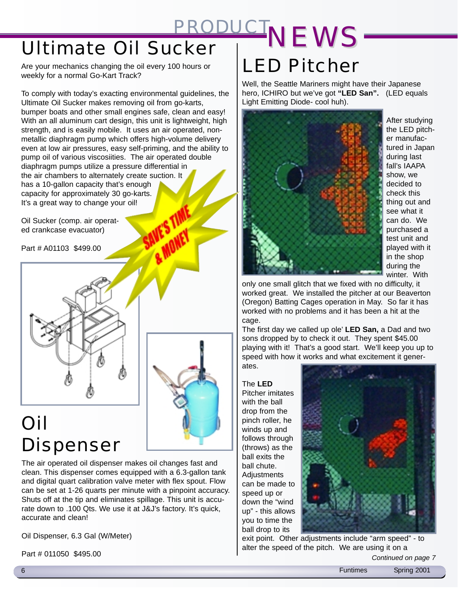# Ultimate Oil Sucker *PRODUCT NEWS*

Are your mechanics changing the oil every 100 hours or weekly for a normal Go-Kart Track?

To comply with today's exacting environmental guidelines, the Ultimate Oil Sucker makes removing oil from go-karts, bumper boats and other small engines safe, clean and easy! With an all aluminum cart design, this unit is lightweight, high strength, and is easily mobile. It uses an air operated, nonmetallic diaphragm pump which offers high-volume delivery even at low air pressures, easy self-priming, and the ability to pump oil of various viscosiities. The air operated double diaphragm pumps utilize a pressure differential in the air chambers to alternately create suction. It has a 10-gallon capacity that's enough capacity for approximately 30 go-karts. It's a great way to change your oil!

Oil Sucker (comp. air operated crankcase evacuator)

Part # A01103 \$499.00





### Oil Dispenser

The air operated oil dispenser makes oil changes fast and clean. This dispenser comes equipped with a 6.3-gallon tank and digital quart calibration valve meter with flex spout. Flow can be set at 1-26 quarts per minute with a pinpoint accuracy. Shuts off at the tip and eliminates spillage. This unit is accurate down to .100 Qts. We use it at J&J's factory. It's quick, accurate and clean!

Oil Dispenser, 6.3 Gal (W/Meter)

Part # 011050 \$495.00

## LED Pitcher

Well, the Seattle Mariners might have their Japanese hero, ICHIRO but we've got **"LED San".** (LED equals Light Emitting Diode- cool huh).



After studying the LED pitcher manufactured in Japan during last fall's IAAPA show, we decided to check this thing out and see what it can do. We purchased a test unit and played with it in the shop during the winter. With

only one small glitch that we fixed with no difficulty, it worked great. We installed the pitcher at our Beaverton (Oregon) Batting Cages operation in May. So far it has worked with no problems and it has been a hit at the cage.

The first day we called up ole' **LED San,** a Dad and two sons dropped by to check it out. They spent \$45.00 playing with it! That's a good start. We'll keep you up to speed with how it works and what excitement it gener-

ates.

The **LED** Pitcher imitates with the ball drop from the pinch roller, he winds up and follows through (throws) as the ball exits the ball chute. **Adjustments** can be made to speed up or down the "wind up" - this allows you to time the ball drop to its



exit point. Other adjustments include "arm speed" - to alter the speed of the pitch. We are using it on a

*Continued on page 7*

6 Funtimes Spring 2001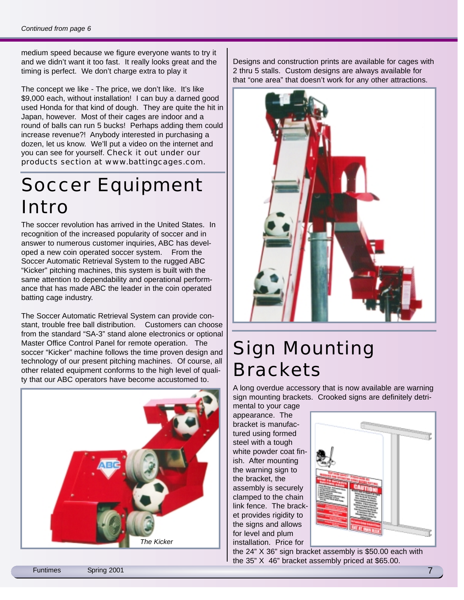medium speed because we figure everyone wants to try it and we didn't want it too fast. It really looks great and the timing is perfect. We don't charge extra to play it

The concept we like - The price, we don't like. It's like \$9,000 each, without installation! I can buy a darned good used Honda for that kind of dough. They are quite the hit in Japan, however. Most of their cages are indoor and a round of balls can run 5 bucks! Perhaps adding them could increase revenue?! Anybody interested in purchasing a dozen, let us know. We'll put a video on the internet and you can see for yourself. Check it out under our products section at www.battingcages.com.

#### Soccer Equipment Intro

The soccer revolution has arrived in the United States. In recognition of the increased popularity of soccer and in answer to numerous customer inquiries, ABC has developed a new coin operated soccer system. From the Soccer Automatic Retrieval System to the rugged ABC "Kicker" pitching machines, this system is built with the same attention to dependability and operational performance that has made ABC the leader in the coin operated batting cage industry.

The Soccer Automatic Retrieval System can provide constant, trouble free ball distribution. Customers can choose from the standard "SA-3" stand alone electronics or optional Master Office Control Panel for remote operation. The soccer "Kicker" machine follows the time proven design and technology of our present pitching machines. Of course, all other related equipment conforms to the high level of quality that our ABC operators have become accustomed to.



Designs and construction prints are available for cages with 2 thru 5 stalls. Custom designs are always available for that "one area" that doesn't work for any other attractions.



### Sign Mounting **Brackets**

A long overdue accessory that is now available are warning sign mounting brackets. Crooked signs are definitely detri-

mental to your cage appearance. The bracket is manufactured using formed steel with a tough white powder coat finish. After mounting the warning sign to the bracket, the assembly is securely clamped to the chain link fence. The bracket provides rigidity to the signs and allows for level and plum installation. Price for



the 24" X 36" sign bracket assembly is \$50.00 each with the 35" X 46" bracket assembly priced at \$65.00.